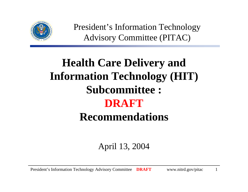

President's Information Technology Advisory Committee (PITAC)

## **Health Care Delivery and Information Technology (HIT) Subcommittee : DRAFTRecommendations**

### April 13, 2004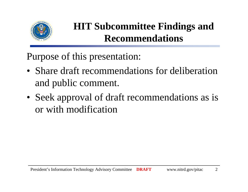

### **HIT Subcommittee Findings and Recommendations**

Purpose of this presentation:

- Share draft recommendations for deliberation and public comment.
- Seek approval of draft recommendations as is or with modification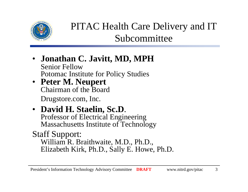

### PITAC Health Care Delivery and IT Subcommittee

- **Jonathan C. Javitt, MD, MPH** Senior FellowPotomac Institute for Policy Studies
- **Peter M. Neupert** Chairman of the Board Drugstore.com, Inc.
- **David H. Staelin, Sc.D**. Professor of Electrical Engineering Massachusetts Institute of Technology
- Staff Support:

William R. Braithwaite, M.D., Ph.D., Elizabeth Kirk, Ph.D., Sally E. Howe, Ph.D.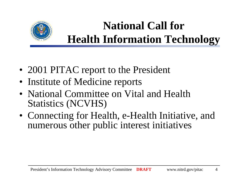

### **National Call for Health Information Technology**

- 2001 PITAC report to the President
- Institute of Medicine reports
- National Committee on Vital and Health Statistics (NCVHS)
- Connecting for Health, e-Health Initiative, and numerous other public interest initiatives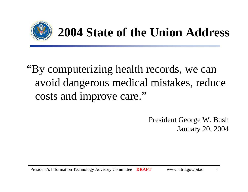

# **2004 State of the Union Address**

## "By computerizing health records, we can avoid dangerous medical mistakes, reduce costs and improve care."

President George W. Bush January 20, 2004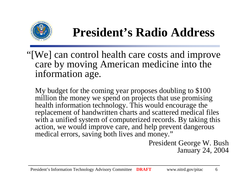

# **President's Radio Address**

"[We] can control health care costs and improve care by moving American medicine into the information age.

My budget for the coming year proposes doubling to \$100 million the money we spend on projects that use promising health information technology. This would encourage the replacement of handwritten charts and scattered medical files with a unified system of computerized records. By taking this action, we would improve care, and help prevent dangerous medical errors, saving both lives and money."

> President George W. Bush January 24, 2004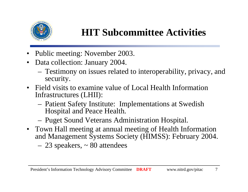

### **HIT Subcommittee Activities**

- •Public meeting: November 2003.
- $\bullet$  Data collection: January 2004.
	- Testimony on issues related to interoperability, privacy, and security.
- • Field visits to examine value of Local Health Information Infrastructures (LHII):
	- Patient Safety Institute: Implementations at Swedish Hospital and Peace Health.
	- Puget Sound Veterans Administration Hospital.
- Town Hall meeting at annual meeting of Health Information and Management Systems Society (HIMSS): February 2004. 23 speakers, ~ 80 attendees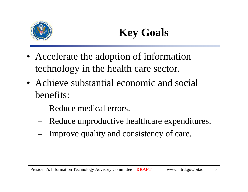

# **Key Goals**

- Accelerate the adoption of information technology in the health care sector.
- Achieve substantial economic and social benefits:
	- Reduce medical errors.
	- Reduce unproductive healthcare expenditures.
	- Improve quality and consistency of care.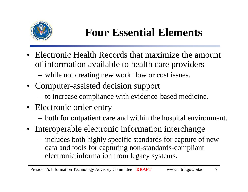

### **Four Essential Elements**

- • Electronic Health Records that maximize the amount of information available to health care providers
	- while not creating new work flow or cost issues.
- Computer-assisted decision support
	- to increase compliance with evidence-based medicine.
- Electronic order entry
	- both for outpatient care and within the hospital environment.
- Interoperable electronic information interchange
	- includes both highly specific standards for capture of new data and tools for capturing non-standards-compliant electronic information from legacy systems.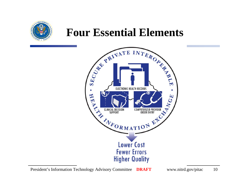

### **Four Essential Elements**

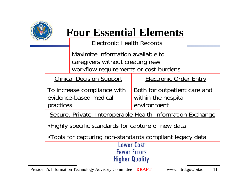

### **Four Essential Elements**

Electronic Health Records

Maximize information available to caregivers without creating new workflow requirements or cost burdens

Clinical Decision Support

Electronic Order Entry

Both for outpatient care and within the hospital environmentTo increase compliance with evidence-based medical practices

Secure, Private, Interoperable Health Information Exchange

•Highly specific standards for capture of new data

•Tools for capturing non-standards compliant legacy data

#### **Lower Cost Fewer Errors Higher Quality**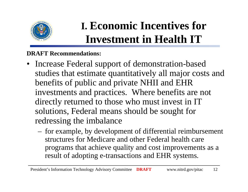

# **I. Economic Incentives for Investment in Health IT**

- $\bullet$  Increase Federal support of demonstration-based studies that estimate quantitatively all major costs and benefits of public and private NHII and EHR investments and practices. Where benefits are not directly returned to those who must invest in IT solutions, Federal means should be sought for redressing the imbalance
	- for example, by development of differential reimbursement structures for Medicare and other Federal health care programs that achieve quality and cost improvements as a result of adopting e-transactions and EHR systems.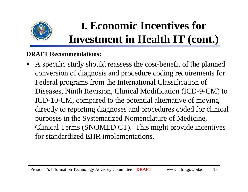

# **I. Economic Incentives for Investment in Health IT (cont.)**

#### **DRAFT Recommendations:**

• A specific study should reassess the cost-benefit of the planned conversion of diagnosis and procedure coding requirements for Federal programs from the International Classification of Diseases, Ninth Revision, Clinical Modification (ICD-9-CM) to ICD-10-CM, compared to the potential alternative of moving directly to reporting diagnoses and procedures coded for clinical purposes in the Systematized Nomenclature of Medicine, Clinical Terms (SNOMED CT). This might provide incentives for standardized EHR implementations.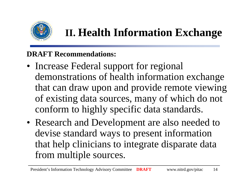

## **II. Health Information Exchange**

- Increase Federal support for regional demonstrations of health information exchange that can draw upon and provide remote viewing of existing data sources, many of which do not conform to highly specific data standards.
- Research and Development are also needed to devise standard ways to present information that help clinicians to integrate disparate data from multiple sources.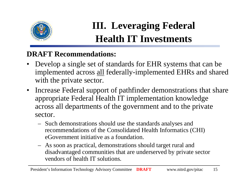

### **III. Leveraging Federal Health IT Investments**

- $\bullet$  Develop a single set of standards for EHR systems that can be implemented across all federally-implemented EHRs and shared with the private sector.
- • Increase Federal support of pathfinder demonstrations that share appropriate Federal Health IT implementation knowledge across all departments of the government and to the private sector.
	- Such demonstrations should use the standards analyses and recommendations of the Consolidated Health Informatics (CHI) eGovernment initiative as a foundation.
	- As soon as practical, demonstrations should target rural and disadvantaged communities that are underserved by private sector vendors of health IT solutions.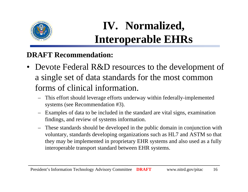

## **IV. Normalized, Interoperable EHRs**

- Devote Federal R&D resources to the development of a single set of data standards for the most common forms of clinical information.
	- – This effort should leverage efforts underway within federally-implemented systems (see Recommendation #3).
	- Examples of data to be included in the standard are vital signs, examination findings, and review of systems information.
	- These standards should be developed in the public domain in conjunction with voluntary, standards developing organizations such as HL7 and ASTM so that they may be implemented in proprietary EHR systems and also used as a fully interoperable transport standard between EHR systems.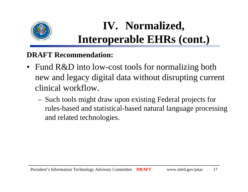

# **IV. Normalized, Interoperable EHRs (cont.)**

- $\bullet$ Fund R&D into low-cost tools for normalizing both new and legacy digital data without disrupting current clinical workflow.
	- Such tools might draw upon existing Federal projects for rules-based and statistical-based natural language processing and related technologies.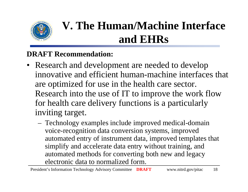

# **V. The Human/Machine Interface and EHRs**

- Research and development are needed to develop innovative and efficient human-machine interfaces that are optimized for use in the health care sector. Research into the use of IT to improve the work flow for health care delivery functions is a particularly inviting target.
	- Technology examples include improved medical-domain voice-recognition data conversion systems, improved automated entry of instrument data, improved templates that simplify and accelerate data entry without training, and automated methods for converting both new and legacy electronic data to normalized form.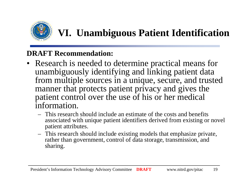

### **VI. Unambiguous Patient Identification**

- Research is needed to determine practical means for unambiguously identifying and linking patient data from multiple sources in a unique, secure, and trusted manner that protects patient privacy and gives the patient control over the use of his or her medical information.
	- This research should include an estimate of the costs and benefits associated with unique patient identifiers derived from existing or novel patient attributes.
	- This research should include existing models that emphasize private, rather than government, control of data storage, transmission, and sharing.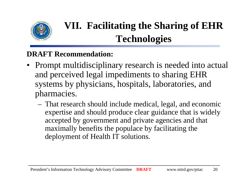

### **VII. Facilitating the Sharing of EHR Technologies**

- Prompt multidisciplinary research is needed into actual and perceived legal impediments to sharing EHR systems by physicians, hospitals, laboratories, and pharmacies.
	- That research should include medical, legal, and economic expertise and should produce clear guidance that is widely accepted by government and private agencies and that maximally benefits the populace by facilitating the deployment of Health IT solutions.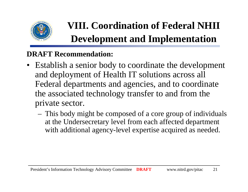

## **VIII. Coordination of Federal NHII Development and Implementation**

- Establish a senior body to coordinate the development and deployment of Health IT solutions across all Federal departments and agencies, and to coordinate the associated technology transfer to and from the private sector.
	- This body might be composed of a core group of individuals at the Undersecretary level from each affected department with additional agency-level expertise acquired as needed.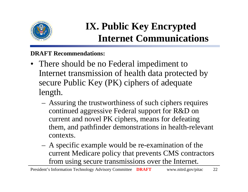

### **IX. Public Key Encrypted Internet Communications**

- There should be no Federal impediment to Internet transmission of health data protected by secure Public Key (PK) ciphers of adequate length.
	- Assuring the trustworthiness of such ciphers requires continued aggressive Federal support for R&D on current and novel PK ciphers, means for defeating them, and pathfinder demonstrations in health-relevant contexts.
	- A specific example would be re-examination of the current Medicare policy that prevents CMS contractors from using secure transmissions over the Internet.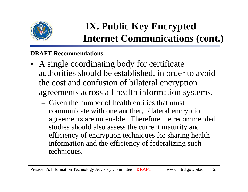

### **IX. Public Key Encrypted Internet Communications (cont.)**

- A single coordinating body for certificate authorities should be established, in order to avoid the cost and confusion of bilateral encryption agreements across all health information systems.
	- Given the number of health entities that must communicate with one another, bilateral encryption agreements are untenable. Therefore the recommended studies should also assess the current maturity and efficiency of encryption techniques for sharing health information and the efficiency of federalizing such techniques.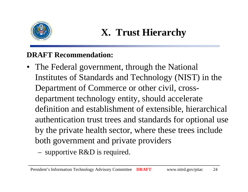

- The Federal government, through the National Institutes of Standards and Technology (NIST) in the Department of Commerce or other civil, crossdepartment technology entity, should accelerate definition and establishment of extensible, hierarchical authentication trust trees and standards for optional use by the private health sector, where these trees include both government and private providers
	- supportive R&D is required.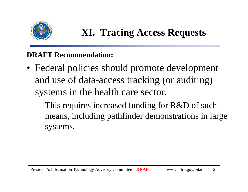

### **XI. Tracing Access Requests**

- Federal policies should promote development and use of data-access tracking (or auditing) systems in the health care sector.
	- This requires increased funding for R&D of such means, including pathfinder demonstrations in large systems.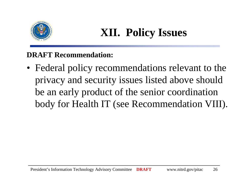

### **XII. Policy Issues**

**DRAFT Recommendation:**

• Federal policy recommendations relevant to the privacy and security issues listed above should be an early product of the senior coordination body for Health IT (see Recommendation VIII).